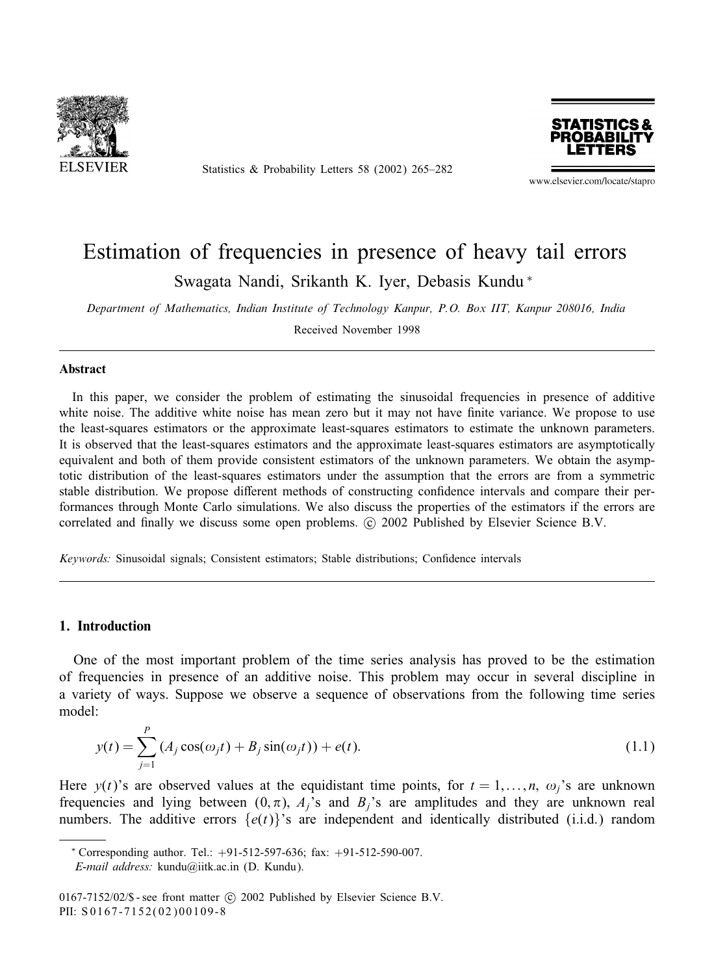

Statistics & Probability Letters 58 (2002) 265–282



www.elsevier.com/locate/stapro

# Estimation of frequencies in presence of heavy tail errors Swagata Nandi, Srikanth K. Iyer, Debasis Kundu <sup>∗</sup>

*Department of Mathematics, Indian Institute of Technology Kanpur, P.O. Box IIT, Kanpur 208016, India*

Received November 1998

#### **Abstract**

In this paper, we consider the problem of estimating the sinusoidal frequencies in presence of additive white noise. The additive white noise has mean zero but it may not have finite variance. We propose to use the least-squares estimators or the approximate least-squares estimators to estimate the unknown parameters. It is observed that the least-squares estimators and the approximate least-squares estimators are asymptotically equivalent and both of them provide consistent estimators of the unknown parameters. We obtain the asymptotic distribution of the least-squares estimators under the assumption that the errors are from a symmetric stable distribution. We propose different methods of constructing confidence intervals and compare their performances through Monte Carlo simulations. We also discuss the properties of the estimators if the errors are correlated and finally we discuss some open problems.  $\odot$  2002 Published by Elsevier Science B.V.

*Keywords:* Sinusoidal signals; Consistent estimators; Stable distributions; Confidence intervals

## 1. Introduction

One of the most important problem of the time series analysis has proved to be the estimation of frequencies in presence of an additive noise. This problem may occur in several discipline in a variety of ways. Suppose we observe a sequence of observations from the following time series model:

$$
y(t) = \sum_{j=1}^{P} (A_j \cos(\omega_j t) + B_j \sin(\omega_j t)) + e(t).
$$
 (1.1)

Here  $y(t)$ 's are observed values at the equidistant time points, for  $t = 1, \ldots, n$ ,  $\omega_j$ 's are unknown frequencies and lying between  $(0, \pi)$ ,  $A_j$ 's and  $B_j$ 's are amplitudes and they are unknown real numbers. The additive errors  $\{e(t)\}$ 's are independent and identically distributed (i.i.d.) random

*E-mail address:* kundu@iitk.ac.in (D. Kundu).

<sup>∗</sup> Corresponding author. Tel.: +91-512-597-636; fax: +91-512-590-007.

<sup>0167-7152/02/\$ -</sup> see front matter  $\odot$  2002 Published by Elsevier Science B.V. PII: S 0167-7152(02)00109-8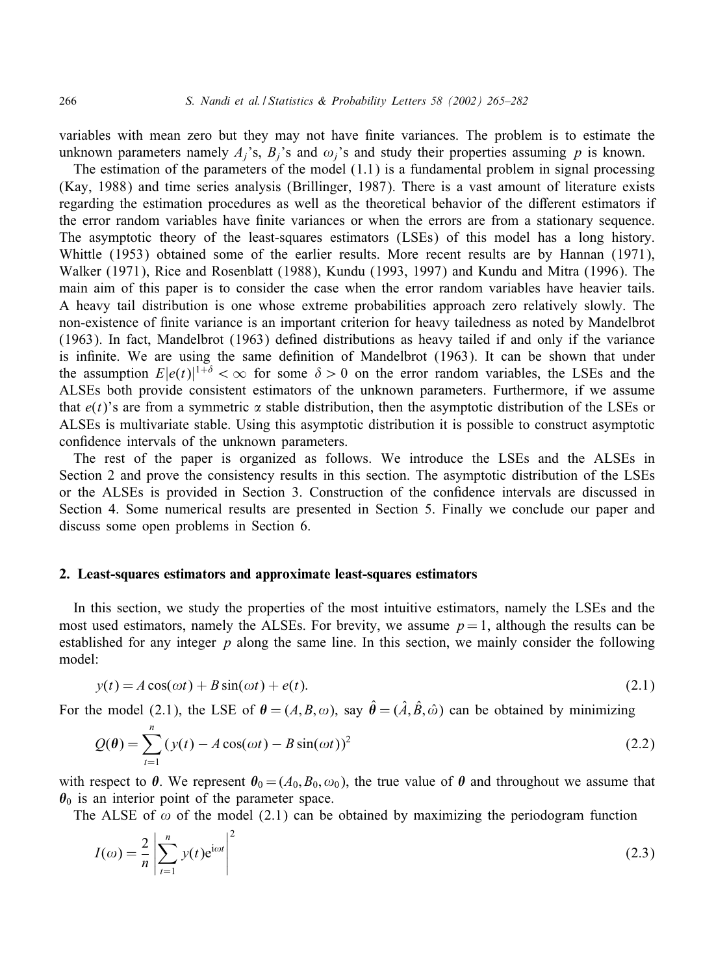variables with mean zero but they may not have finite variances. The problem is to estimate the unknown parameters namely  $A_i$ 's,  $B_i$ 's and  $\omega_i$ 's and study their properties assuming p is known.

The estimation of the parameters of the model  $(1.1)$  is a fundamental problem in signal processing (Kay, 1988) and time series analysis (Brillinger, 1987). There is a vast amount of literature exists regarding the estimation procedures as well as the theoretical behavior of the different estimators if the error random variables have finite variances or when the errors are from a stationary sequence. The asymptotic theory of the least-squares estimators (LSEs) of this model has a long history. Whittle (1953) obtained some of the earlier results. More recent results are by Hannan (1971), Walker (1971), Rice and Rosenblatt (1988), Kundu (1993, 1997) and Kundu and Mitra (1996). The main aim of this paper is to consider the case when the error random variables have heavier tails. A heavy tail distribution is one whose extreme probabilities approach zero relatively slowly. The non-existence of finite variance is an important criterion for heavy tailedness as noted by Mandelbrot  $(1963)$ . In fact, Mandelbrot  $(1963)$  defined distributions as heavy tailed if and only if the variance is infinite. We are using the same definition of Mandelbrot (1963). It can be shown that under the assumption  $E|e(t)|^{1+\delta} < \infty$  for some  $\delta > 0$  on the error random variables, the LSEs and the ALSEs both provide consistent estimators of the unknown parameters. Furthermore, if we assume that  $e(t)$ 's are from a symmetric  $\alpha$  stable distribution, then the asymptotic distribution of the LSEs or ALSEs is multivariate stable. Using this asymptotic distribution it is possible to construct asymptotic confidence intervals of the unknown parameters.

The rest of the paper is organized as follows. We introduce the LSEs and the ALSEs in Section 2 and prove the consistency results in this section. The asymptotic distribution of the LSEs or the ALSEs is provided in Section 3. Construction of the confidence intervals are discussed in Section 4. Some numerical results are presented in Section 5. Finally we conclude our paper and discuss some open problems in Section 6.

#### 2. Least-squares estimators and approximate least-squares estimators

In this section, we study the properties of the most intuitive estimators, namely the LSEs and the most used estimators, namely the ALSEs. For brevity, we assume  $p=1$ , although the results can be established for any integer  $p$  along the same line. In this section, we mainly consider the following model:

$$
y(t) = A\cos(\omega t) + B\sin(\omega t) + e(t).
$$
\n(2.1)

For the model (2.1), the LSE of  $\theta = (A, B, \omega)$ , say  $\hat{\theta} = (\hat{A}, \hat{B}, \hat{\omega})$  can be obtained by minimizing

$$
Q(\theta) = \sum_{t=1}^{n} (y(t) - A\cos(\omega t) - B\sin(\omega t))^2
$$
\n(2.2)

with respect to  $\theta$ . We represent  $\theta_0 = (A_0, B_0, \omega_0)$ , the true value of  $\theta$  and throughout we assume that  $\theta_0$  is an interior point of the parameter space.

The ALSE of  $\omega$  of the model (2.1) can be obtained by maximizing the periodogram function

$$
I(\omega) = \frac{2}{n} \left| \sum_{t=1}^{n} y(t) e^{i\omega t} \right|^2 \tag{2.3}
$$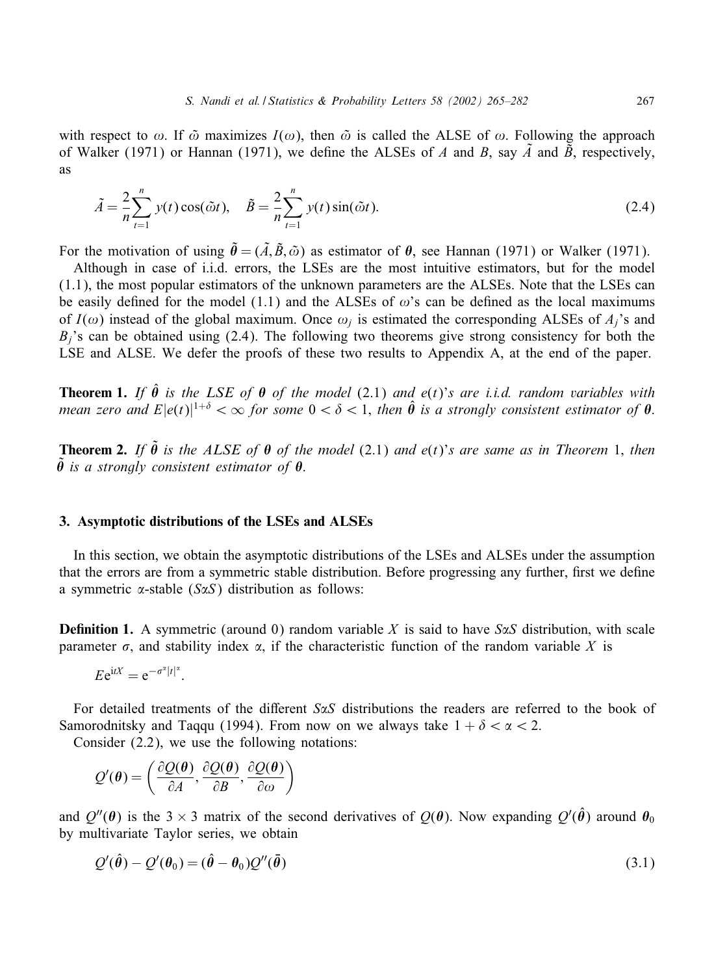with respect to  $\omega$ . If  $\tilde{\omega}$  maximizes  $I(\omega)$ , then  $\tilde{\omega}$  is called the ALSE of  $\omega$ . Following the approach of Walker (1971) or Hannan (1971), we define the ALSEs of A and B, say  $\tilde{A}$  and  $\tilde{B}$ , respectively, as

$$
\tilde{A} = \frac{2}{n} \sum_{t=1}^{n} y(t) \cos(\tilde{\omega}t), \quad \tilde{B} = \frac{2}{n} \sum_{t=1}^{n} y(t) \sin(\tilde{\omega}t). \tag{2.4}
$$

For the motivation of using  $\tilde{\theta} = (\tilde{A}, \tilde{B}, \tilde{\omega})$  as estimator of  $\theta$ , see Hannan (1971) or Walker (1971).

Although in case of i.i.d. errors, the LSEs are the most intuitive estimators, but for the model (1.1), the most popular estimators of the unknown parameters are the ALSEs. Note that the LSEs can be easily defined for the model (1.1) and the ALSEs of  $\omega$ 's can be defined as the local maximums of  $I(\omega)$  instead of the global maximum. Once  $\omega_i$  is estimated the corresponding ALSEs of  $A_i$ 's and  $B_i$ 's can be obtained using (2.4). The following two theorems give strong consistency for both the LSE and ALSE. We defer the proofs of these two results to Appendix A, at the end of the paper.

**Theorem 1.** If  $\hat{\theta}$  is the LSE of  $\theta$  of the model (2.1) and  $e(t)$ 's are i.i.d. random variables with *mean zero and*  $E|e(t)|^{1+\delta} < \infty$  for some  $0 < \delta < 1$ , then  $\hat{\theta}$  is a strongly consistent estimator of  $\theta$ .

**Theorem 2.** If  $\tilde{\theta}$  is the ALSE of  $\theta$  of the model (2.1) and  $e(t)$ 's are same as in Theorem 1, then  $\tilde{\theta}$  is a strongly consistent estimator of  $\theta$ .

## 3. Asymptotic distributions of the LSEs and ALSEs

In this section, we obtain the asymptotic distributions of the LSEs and ALSEs under the assumption that the errors are from a symmetric stable distribution. Before progressing any further, first we define a symmetric  $\alpha$ -stable (S $\alpha$ S) distribution as follows:

**Definition 1.** A symmetric (around 0) random variable X is said to have  $S\alpha S$  distribution, with scale parameter  $\sigma$ , and stability index  $\alpha$ , if the characteristic function of the random variable X is

 $Ee^{itX} = e^{-\sigma^{\alpha}|t|^{\alpha}}.$ 

For detailed treatments of the different  $S\alpha S$  distributions the readers are referred to the book of Samorodnitsky and Taqqu (1994). From now on we always take  $1 + \delta < \alpha < 2$ .

Consider (2.2), we use the following notations:

$$
Q'(\theta) = \left(\frac{\partial Q(\theta)}{\partial A}, \frac{\partial Q(\theta)}{\partial B}, \frac{\partial Q(\theta)}{\partial \omega}\right)
$$

and  $Q''(\theta)$  is the 3 × 3 matrix of the second derivatives of  $Q(\theta)$ . Now expanding  $Q'(\hat{\theta})$  around  $\theta_0$ by multivariate Taylor series, we obtain

$$
Q'(\hat{\theta}) - Q'(\theta_0) = (\hat{\theta} - \theta_0)Q''(\bar{\theta})
$$
\n(3.1)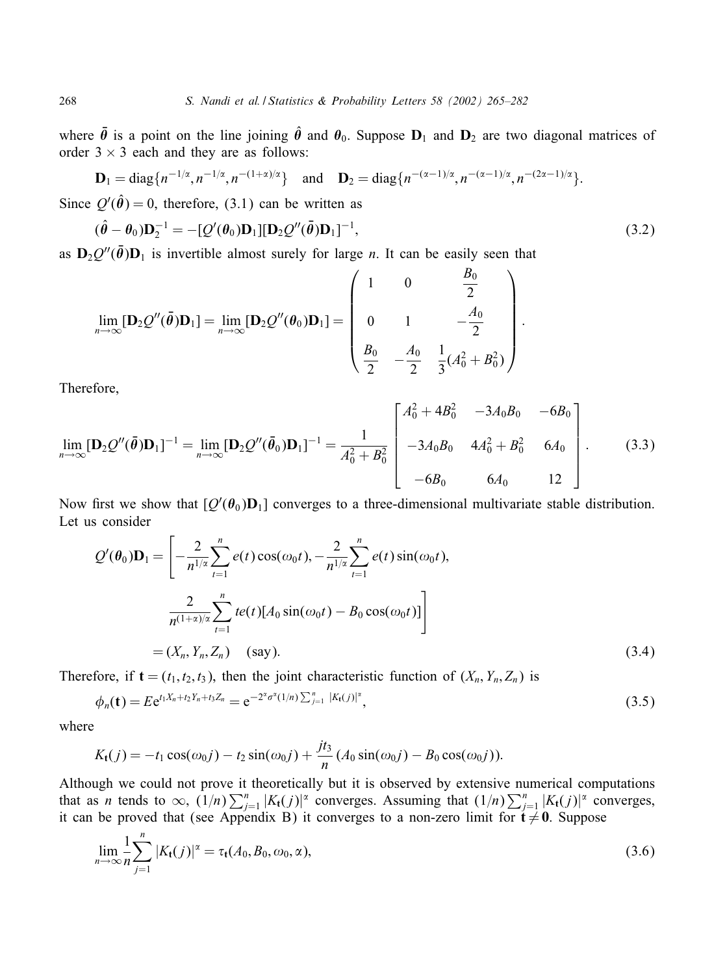where  $\bar{\theta}$  is a point on the line joining  $\hat{\theta}$  and  $\theta_0$ . Suppose  $D_1$  and  $D_2$  are two diagonal matrices of order  $3 \times 3$  each and they are as follows:

$$
\mathbf{D}_1 = \text{diag}\{n^{-1/\alpha}, n^{-1/\alpha}, n^{-(1+\alpha)/\alpha}\}\quad \text{and} \quad \mathbf{D}_2 = \text{diag}\{n^{-(\alpha-1)/\alpha}, n^{-(\alpha-1)/\alpha}, n^{-(2\alpha-1)/\alpha}\}.
$$

Since  $Q'(\hat{\theta}) = 0$ , therefore, (3.1) can be written as

$$
(\hat{\boldsymbol{\theta}} - \boldsymbol{\theta}_0) \mathbf{D}_2^{-1} = -[\mathcal{Q}'(\boldsymbol{\theta}_0) \mathbf{D}_1] [\mathbf{D}_2 \mathcal{Q}''(\bar{\boldsymbol{\theta}}) \mathbf{D}_1]^{-1},
$$
\n(3.2)

:

as  $D_2Q''(\theta)D_1$  is invertible almost surely for large *n*. It can be easily seen that

$$
\lim_{n \to \infty} [\mathbf{D}_2 Q''(\bar{\theta}) \mathbf{D}_1] = \lim_{n \to \infty} [\mathbf{D}_2 Q''(\theta_0) \mathbf{D}_1] = \begin{pmatrix} 1 & 0 & \frac{B_0}{2} \\ 0 & 1 & -\frac{A_0}{2} \\ \frac{B_0}{2} & -\frac{A_0}{2} & \frac{1}{3}(A_0^2 + B_0^2) \end{pmatrix}
$$

Therefore,

$$
\lim_{n \to \infty} [\mathbf{D}_2 Q''(\bar{\boldsymbol{\theta}}) \mathbf{D}_1]^{-1} = \lim_{n \to \infty} [\mathbf{D}_2 Q''(\bar{\boldsymbol{\theta}}_0) \mathbf{D}_1]^{-1} = \frac{1}{A_0^2 + B_0^2} \begin{bmatrix} A_0^2 + 4B_0^2 & -3A_0 B_0 & -6B_0 \\ -3A_0 B_0 & 4A_0^2 + B_0^2 & 6A_0 \\ -6B_0 & 6A_0 & 12 \end{bmatrix}.
$$
 (3.3)

Now first we show that  $[Q'(\theta_0)D_1]$  converges to a three-dimensional multivariate stable distribution. Let us consider

$$
Q'(\theta_0)\mathbf{D}_1 = \left[ -\frac{2}{n^{1/\alpha}} \sum_{t=1}^n e(t) \cos(\omega_0 t), -\frac{2}{n^{1/\alpha}} \sum_{t=1}^n e(t) \sin(\omega_0 t), -\frac{2}{n^{1/\alpha}} \sum_{t=1}^n e(t) [\mathbf{A}_0 \sin(\omega_0 t) - \mathbf{B}_0 \cos(\omega_0 t)] \right]
$$
  
=  $(X_n, Y_n, Z_n)$  (say). (3.4)

Therefore, if  $\mathbf{t} = (t_1, t_2, t_3)$ , then the joint characteristic function of  $(X_n, Y_n, Z_n)$  is

$$
\phi_n(\mathbf{t}) = E e^{t_1 X_n + t_2 Y_n + t_3 Z_n} = e^{-2^{\alpha} \sigma^{\alpha}(1/n) \sum_{j=1}^n |K_{\mathbf{t}}(j)|^{\alpha}}, \tag{3.5}
$$

where

$$
K_{t}(j) = -t_{1}\cos(\omega_{0}j) - t_{2}\sin(\omega_{0}j) + \frac{jt_{3}}{n}(A_{0}\sin(\omega_{0}j) - B_{0}\cos(\omega_{0}j)).
$$

Although we could not prove it theoretically but it is observed by extensive numerical computations that as *n* tends to  $\infty$ ,  $(1/n)\sum_{j=1}^{n} |K_t(j)|^{\alpha}$  converges. Assuming that  $(1/n)\sum_{j=1}^{n} |K_t(j)|^{\alpha}$  converges, it can be proved that (see Appendix B) it converges to a non-zero limit for  $t \neq 0$ . Suppose

$$
\lim_{n \to \infty} \frac{1}{n} \sum_{j=1}^{n} |K_{t}(j)|^{\alpha} = \tau_{t}(A_{0}, B_{0}, \omega_{0}, \alpha), \qquad (3.6)
$$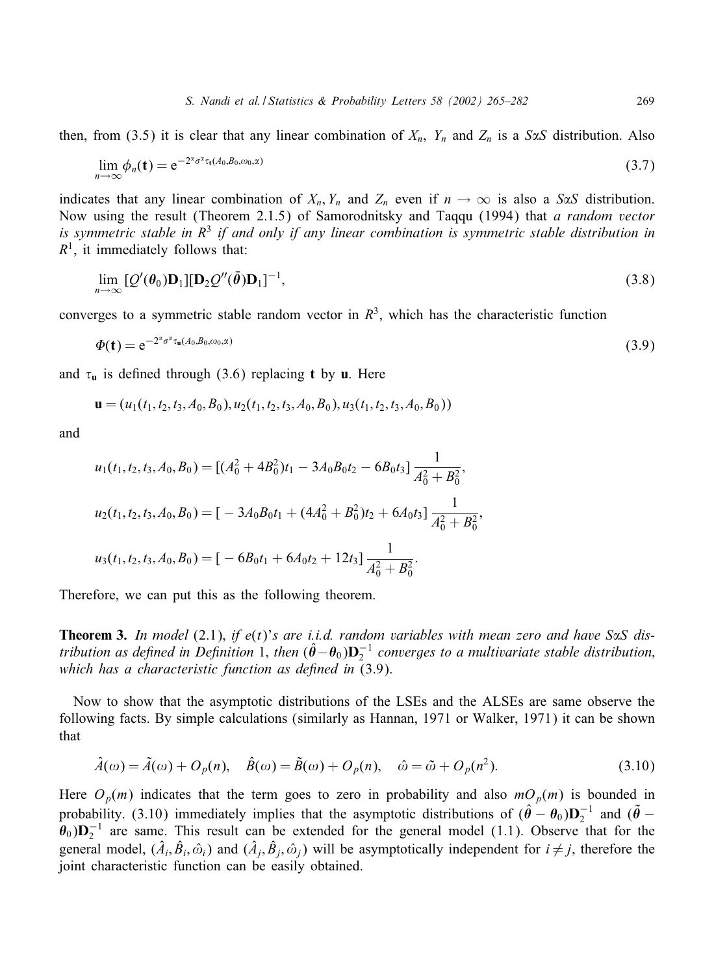then, from (3.5) it is clear that any linear combination of  $X_n$ ,  $Y_n$  and  $Z_n$  is a S $\alpha$ S distribution. Also

$$
\lim_{n\to\infty}\phi_n(\mathbf{t}) = e^{-2^{\alpha}\sigma^{\alpha}\tau_{\mathbf{t}}(A_0,B_0,\omega_0,\alpha)}
$$
\n(3.7)

indicates that any linear combination of  $X_n$ ,  $Y_n$  and  $Z_n$  even if  $n \to \infty$  is also a S $\alpha$ S distribution. Now using the result (Theorem 2.1.5) of Samorodnitsky and Taqqu (1994) that *a random vector* is symmetric stable in  $\mathbb{R}^3$  *if and only if any linear combination is symmetric stable distribution in*  $R<sup>1</sup>$ , it immediately follows that:

$$
\lim_{n\to\infty} \left[ \mathcal{Q}'(\theta_0) \mathbf{D}_1 \right] [\mathbf{D}_2 \mathcal{Q}''(\bar{\theta}) \mathbf{D}_1]^{-1},\tag{3.8}
$$

converges to a symmetric stable random vector in  $R<sup>3</sup>$ , which has the characteristic function

$$
\Phi(t) = e^{-2^{\alpha} \sigma^{\alpha} \tau_{\mathbf{u}}(A_0, B_0, \omega_0, \alpha)}
$$
\n(3.9)

and  $\tau$ <sub>u</sub> is defined through (3.6) replacing **t** by **u**. Here

$$
\mathbf{u} = (u_1(t_1, t_2, t_3, A_0, B_0), u_2(t_1, t_2, t_3, A_0, B_0), u_3(t_1, t_2, t_3, A_0, B_0))
$$

and

$$
u_1(t_1, t_2, t_3, A_0, B_0) = [(A_0^2 + 4B_0^2)t_1 - 3A_0B_0t_2 - 6B_0t_3] \frac{1}{A_0^2 + B_0^2},
$$
  
\n
$$
u_2(t_1, t_2, t_3, A_0, B_0) = [-3A_0B_0t_1 + (4A_0^2 + B_0^2)t_2 + 6A_0t_3] \frac{1}{A_0^2 + B_0^2},
$$
  
\n
$$
u_3(t_1, t_2, t_3, A_0, B_0) = [-6B_0t_1 + 6A_0t_2 + 12t_3] \frac{1}{A_0^2 + B_0^2}.
$$

Therefore, we can put this as the following theorem.

**Theorem 3.** In model (2.1), if  $e(t)$ 's are i.i.d. random variables with mean zero and have S $\alpha$ S dis*tribution as defined in Definition* 1, *then*  $(\hat{\theta} - \theta_0)\mathbf{D}_2^{-1}$  *converges to a multivariate stable distribution*, *which has a characteristic function as defined in* (3.9).

Now to show that the asymptotic distributions of the LSEs and the ALSEs are same observe the following facts. By simple calculations (similarly as Hannan, 1971 or Walker, 1971) it can be shown that

$$
\hat{A}(\omega) = \tilde{A}(\omega) + O_p(n), \quad \hat{B}(\omega) = \tilde{B}(\omega) + O_p(n), \quad \hat{\omega} = \tilde{\omega} + O_p(n^2). \tag{3.10}
$$

Here  $O_p(m)$  indicates that the term goes to zero in probability and also  $mO_p(m)$  is bounded in probability. (3.10) immediately implies that the asymptotic distributions of  $(\hat{\theta} - \theta_0)\mathbf{D}_2^{-1}$  and  $(\tilde{\theta} \theta_0$ ) $D_2^{-1}$  are same. This result can be extended for the general model (1.1). Observe that for the general model,  $(\hat{A}_i, \hat{B}_i, \hat{\omega}_i)$  and  $(\hat{A}_j, \hat{B}_j, \hat{\omega}_i)$  will be asymptotically independent for  $i \neq j$ , therefore the joint characteristic function can be easily obtained.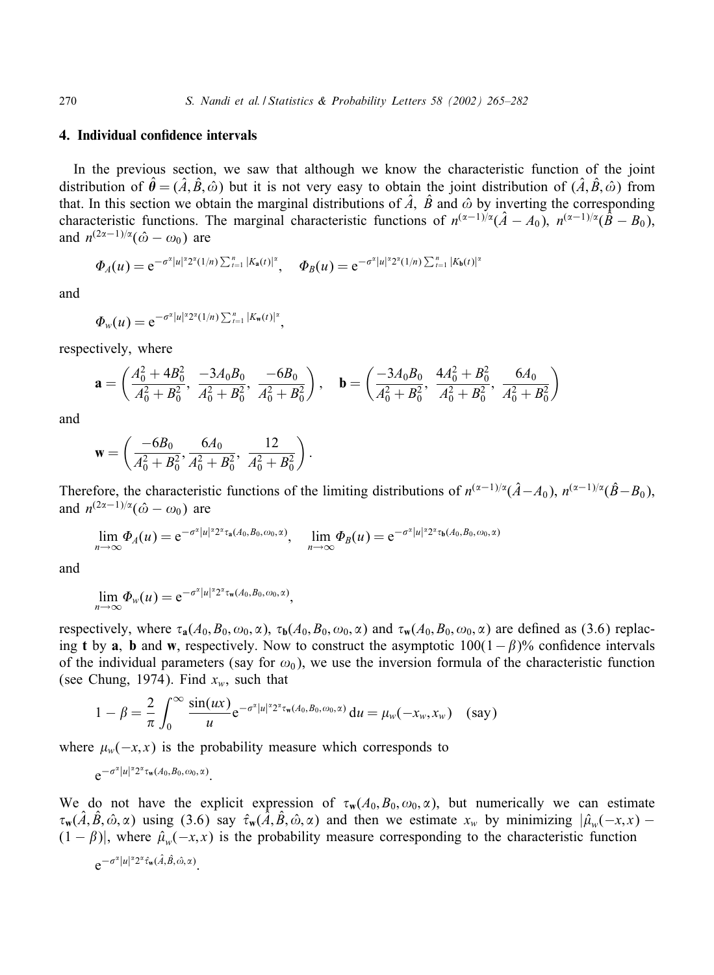## 4. Individual confidence intervals

In the previous section, we saw that although we know the characteristic function of the joint distribution of  $\hat{\theta} = (\hat{A}, \hat{B}, \hat{\omega})$  but it is not very easy to obtain the joint distribution of  $(\hat{A}, \hat{B}, \hat{\omega})$  from that. In this section we obtain the marginal distributions of  $\hat{A}$ ,  $\hat{B}$  and  $\hat{\omega}$  by inverting the corresponding characteristic functions. The marginal characteristic functions of  $n^{(\alpha-1)/\alpha}(\hat{A} - A_0)$ ,  $n^{(\alpha-1)/\alpha}(\hat{B} - B_0)$ , and  $n^{(2\alpha-1)/\alpha}(\hat{\omega} - \omega_0)$  are

$$
\Phi_A(u) = e^{-\sigma^{\alpha}|u|^{\alpha}2^{\alpha}(1/n)\sum_{t=1}^n|K_a(t)|^{\alpha}}, \quad \Phi_B(u) = e^{-\sigma^{\alpha}|u|^{\alpha}2^{\alpha}(1/n)\sum_{t=1}^n|K_b(t)|^{\alpha}}
$$

and

$$
\Phi_w(u) = e^{-\sigma^{\alpha}|u|^{\alpha}2^{\alpha}(1/n)\sum_{t=1}^n|K_w(t)|^{\alpha}},
$$

respectively, where

$$
\mathbf{a} = \left(\frac{A_0^2 + 4B_0^2}{A_0^2 + B_0^2}, \frac{-3A_0B_0}{A_0^2 + B_0^2}, \frac{-6B_0}{A_0^2 + B_0^2}\right), \quad \mathbf{b} = \left(\frac{-3A_0B_0}{A_0^2 + B_0^2}, \frac{4A_0^2 + B_0^2}{A_0^2 + B_0^2}, \frac{6A_0}{A_0^2 + B_0^2}\right)
$$

and

$$
\mathbf{w} = \left(\frac{-6B_0}{A_0^2 + B_0^2}, \frac{6A_0}{A_0^2 + B_0^2}, \frac{12}{A_0^2 + B_0^2}\right).
$$

Therefore, the characteristic functions of the limiting distributions of  $n^{(\alpha-1)/\alpha}(\hat{A}-A_0)$ ,  $n^{(\alpha-1)/\alpha}(\hat{B}-B_0)$ , and  $n^{(2\alpha-1)/\alpha}(\hat{\omega} - \omega_0)$  are

$$
\lim_{n\to\infty}\Phi_A(u)=e^{-\sigma^{\alpha}|u|^{\alpha}2^{\alpha}\tau_a(A_0,B_0,\omega_0,\alpha)}, \quad \lim_{n\to\infty}\Phi_B(u)=e^{-\sigma^{\alpha}|u|^{\alpha}2^{\alpha}\tau_b(A_0,B_0,\omega_0,\alpha)}
$$

and

$$
\lim_{n\to\infty}\Phi_{w}(u)=e^{-\sigma^{\alpha}|u|^{\alpha}2^{\alpha}\tau_{\mathbf{w}}(A_0,B_0,\omega_0,\alpha)},
$$

respectively, where  $\tau_a(A_0, B_0, \omega_0, \alpha)$ ,  $\tau_b(A_0, B_0, \omega_0, \alpha)$  and  $\tau_w(A_0, B_0, \omega_0, \alpha)$  are defined as (3.6) replacing t by a, b and w, respectively. Now to construct the asymptotic  $100(1-\beta)\%$  confidence intervals of the individual parameters (say for  $\omega_0$ ), we use the inversion formula of the characteristic function (see Chung, 1974). Find  $x_w$ , such that

$$
1 - \beta = \frac{2}{\pi} \int_0^\infty \frac{\sin(ux)}{u} e^{-\sigma^2 |u|^{2} 2^x \tau_w(A_0, B_0, \omega_0, \alpha)} du = \mu_w(-x_w, x_w) \quad \text{(say)}
$$

where  $\mu_w(-x, x)$  is the probability measure which corresponds to

$$
e^{-\sigma^{\alpha}|u|^{\alpha}2^{\alpha}\tau_{\mathbf{w}}(A_0,B_0,\omega_0,\alpha)}.
$$

We do not have the explicit expression of  $\tau_w(A_0, B_0, \omega_0, \alpha)$ , but numerically we can estimate  $\tau_w(\hat{A}, \hat{B}, \hat{\omega}, \alpha)$  using (3.6) say  $\hat{\tau}_w(\hat{A}, \hat{B}, \hat{\omega}, \alpha)$  and then we estimate  $x_w$  by minimizing  $|\hat{\mu}_w(-x, x) - \hat{\mu}_w(-x, x)|$  $(1 - \beta)$ , where  $\hat{\mu}_w(-x, x)$  is the probability measure corresponding to the characteristic function

$$
e^{-\sigma^{\alpha}|u|^{\alpha}2^{\alpha}\hat{\tau}_{\mathbf{w}}(\hat{A},\hat{B},\hat{\omega},\alpha)}.
$$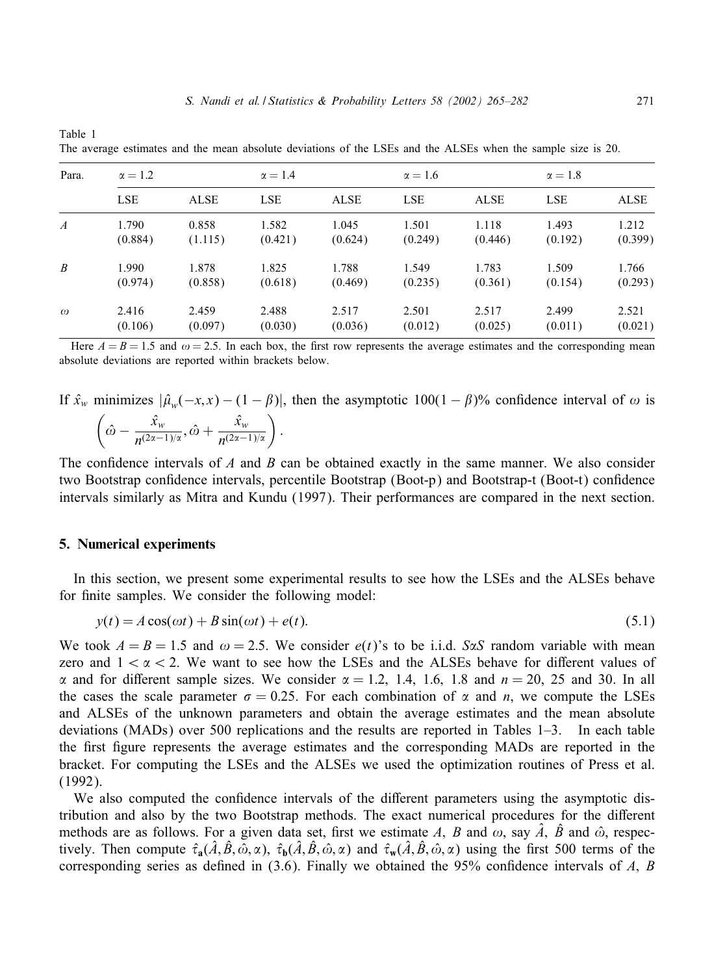| Para.            | $\alpha = 1.2$ |             | $\alpha = 1.4$ |             | $\alpha = 1.6$ |             | $\alpha = 1.8$ |             |
|------------------|----------------|-------------|----------------|-------------|----------------|-------------|----------------|-------------|
|                  | <b>LSE</b>     | <b>ALSE</b> | <b>LSE</b>     | <b>ALSE</b> | <b>LSE</b>     | <b>ALSE</b> | <b>LSE</b>     | <b>ALSE</b> |
| $\boldsymbol{A}$ | 1.790          | 0.858       | 1.582          | 1.045       | 1.501          | 1.118       | 1.493          | 1.212       |
|                  | (0.884)        | (1.115)     | (0.421)        | (0.624)     | (0.249)        | (0.446)     | (0.192)        | (0.399)     |
| $\boldsymbol{B}$ | 1.990          | 1.878       | 1.825          | 1.788       | 1.549          | 1.783       | 1.509          | 1.766       |
|                  | (0.974)        | (0.858)     | (0.618)        | (0.469)     | (0.235)        | (0.361)     | (0.154)        | (0.293)     |
| $\omega$         | 2.416          | 2.459       | 2.488          | 2.517       | 2.501          | 2.517       | 2.499          | 2.521       |
|                  | (0.106)        | (0.097)     | (0.030)        | (0.036)     | (0.012)        | (0.025)     | (0.011)        | (0.021)     |

The average estimates and the mean absolute deviations of the LSEs and the ALSEs when the sample size is 20.

Here  $A = B = 1.5$  and  $\omega = 2.5$ . In each box, the first row represents the average estimates and the corresponding mean absolute deviations are reported within brackets below.

If  $\hat{x}_w$  minimizes  $|\hat{\mu}_w(-x, x) - (1 - \beta)|$ , then the asymptotic 100(1 –  $\beta$ )% confidence interval of  $\omega$  is  $\left(\hat{\omega} - \frac{\hat{x}_{w}}{n^{(2\alpha-1)/\alpha}}, \hat{\omega} + \frac{\hat{x}_{w}}{n^{(2\alpha-1)/\alpha}}\right).$ 

The confidence intervals of  $A$  and  $B$  can be obtained exactly in the same manner. We also consider two Bootstrap confidence intervals, percentile Bootstrap (Boot-p) and Bootstrap-t (Boot-t) confidence intervals similarly as Mitra and Kundu (1997). Their performances are compared in the next section.

#### 5. Numerical experiments

Table 1

In this section, we present some experimental results to see how the LSEs and the ALSEs behave for finite samples. We consider the following model:

$$
y(t) = A\cos(\omega t) + B\sin(\omega t) + e(t). \tag{5.1}
$$

We took  $A = B = 1.5$  and  $\omega = 2.5$ . We consider  $e(t)$ 's to be i.i.d. S $\alpha S$  random variable with mean zero and  $1 < \alpha < 2$ . We want to see how the LSEs and the ALSEs behave for different values of  $\alpha$  and for different sample sizes. We consider  $\alpha = 1.2, 1.4, 1.6, 1.8$  and  $n = 20, 25$  and 30. In all the cases the scale parameter  $\sigma = 0.25$ . For each combination of  $\alpha$  and *n*, we compute the LSEs and ALSEs of the unknown parameters and obtain the average estimates and the mean absolute deviations (MADs) over 500 replications and the results are reported in Tables 1–3. In each table the first figure represents the average estimates and the corresponding MADs are reported in the bracket. For computing the LSEs and the ALSEs we used the optimization routines of Press et al. (1992).

We also computed the confidence intervals of the different parameters using the asymptotic distribution and also by the two Bootstrap methods. The exact numerical procedures for the different methods are as follows. For a given data set, first we estimate A, B and  $\omega$ , say  $\hat{A}$ ,  $\hat{B}$  and  $\hat{\omega}$ , respectively. Then compute  $\hat{\tau}_a(\hat{A}, \hat{B}, \hat{\omega}, \alpha)$ ,  $\hat{\tau}_b(\hat{A}, \hat{B}, \hat{\omega}, \alpha)$  and  $\hat{\tau}_w(\hat{A}, \hat{B}, \hat{\omega}, \alpha)$  using the first 500 terms of the corresponding series as defined in  $(3.6)$ . Finally we obtained the 95% confidence intervals of A, B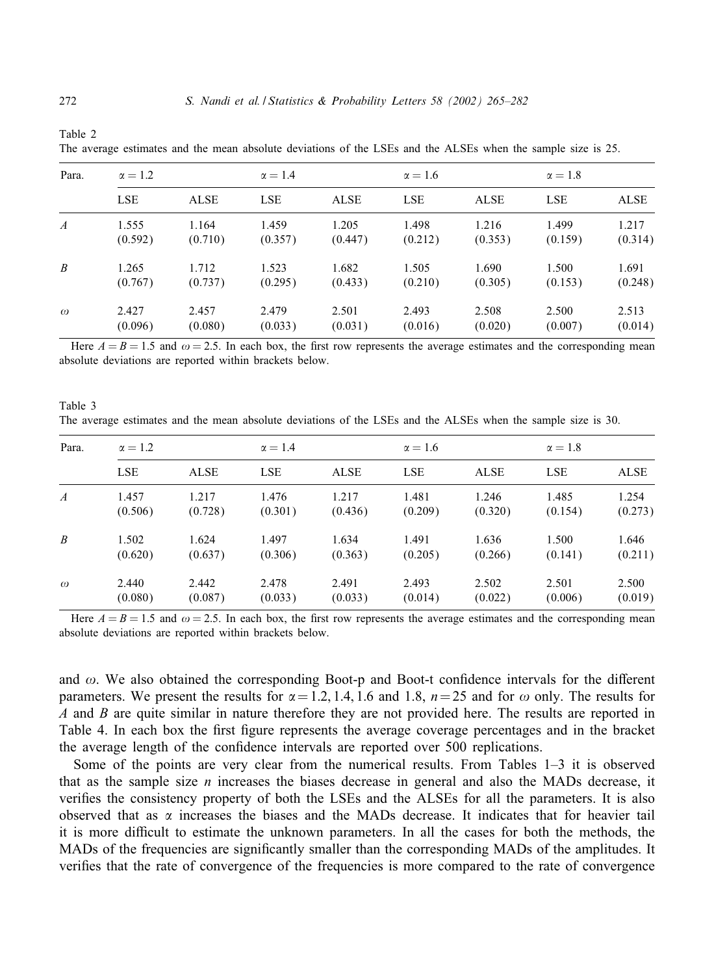| Para.            | $\alpha = 1.2$ |             | $\alpha = 1.4$ |             | $\alpha = 1.6$ |             | $\alpha = 1.8$ |             |
|------------------|----------------|-------------|----------------|-------------|----------------|-------------|----------------|-------------|
|                  | <b>LSE</b>     | <b>ALSE</b> | <b>LSE</b>     | <b>ALSE</b> | <b>LSE</b>     | <b>ALSE</b> | <b>LSE</b>     | <b>ALSE</b> |
| $\boldsymbol{A}$ | 1.555          | 1.164       | 1.459          | 1.205       | 1.498          | 1.216       | 1.499          | 1.217       |
|                  | (0.592)        | (0.710)     | (0.357)        | (0.447)     | (0.212)        | (0.353)     | (0.159)        | (0.314)     |
| $\boldsymbol{B}$ | 1.265          | 1.712       | 1.523          | 1.682       | 1.505          | 1.690       | 1.500          | 1.691       |
|                  | (0.767)        | (0.737)     | (0.295)        | (0.433)     | (0.210)        | (0.305)     | (0.153)        | (0.248)     |
| $\omega$         | 2.427          | 2.457       | 2.479          | 2.501       | 2.493          | 2.508       | 2.500          | 2.513       |
|                  | (0.096)        | (0.080)     | (0.033)        | (0.031)     | (0.016)        | (0.020)     | (0.007)        | (0.014)     |

The average estimates and the mean absolute deviations of the LSEs and the ALSEs when the sample size is 25.

Here  $A = B = 1.5$  and  $\omega = 2.5$ . In each box, the first row represents the average estimates and the corresponding mean absolute deviations are reported within brackets below.

Table 3 The average estimates and the mean absolute deviations of the LSEs and the ALSEs when the sample size is 30.

| Para.            | $\alpha = 1.2$ |             | $\alpha = 1.4$ |             | $\alpha = 1.6$ |             | $\alpha = 1.8$ |             |
|------------------|----------------|-------------|----------------|-------------|----------------|-------------|----------------|-------------|
|                  | <b>LSE</b>     | <b>ALSE</b> | <b>LSE</b>     | <b>ALSE</b> | <b>LSE</b>     | <b>ALSE</b> | <b>LSE</b>     | <b>ALSE</b> |
| $\boldsymbol{A}$ | 1.457          | 1.217       | 1.476          | 1.217       | 1.481          | 1.246       | 1.485          | 1.254       |
|                  | (0.506)        | (0.728)     | (0.301)        | (0.436)     | (0.209)        | (0.320)     | (0.154)        | (0.273)     |
| $\boldsymbol{B}$ | 1.502          | 1.624       | 1.497          | 1.634       | 1.491          | 1.636       | 1.500          | 1.646       |
|                  | (0.620)        | (0.637)     | (0.306)        | (0.363)     | (0.205)        | (0.266)     | (0.141)        | (0.211)     |
| $\omega$         | 2.440          | 2.442       | 2.478          | 2.491       | 2.493          | 2.502       | 2.501          | 2.500       |
|                  | (0.080)        | (0.087)     | (0.033)        | (0.033)     | (0.014)        | (0.022)     | (0.006)        | (0.019)     |

Here  $A = B = 1.5$  and  $\omega = 2.5$ . In each box, the first row represents the average estimates and the corresponding mean absolute deviations are reported within brackets below.

and  $\omega$ . We also obtained the corresponding Boot-p and Boot-t confidence intervals for the different parameters. We present the results for  $\alpha = 1.2, 1.4, 1.6$  and 1.8,  $n = 25$  and for  $\omega$  only. The results for A and B are quite similar in nature therefore they are not provided here. The results are reported in Table 4. In each box the first figure represents the average coverage percentages and in the bracket the average length of the confidence intervals are reported over 500 replications.

Some of the points are very clear from the numerical results. From Tables 1–3 it is observed that as the sample size  $n$  increases the biases decrease in general and also the MADs decrease, it verifies the consistency property of both the LSEs and the ALSEs for all the parameters. It is also observed that as  $\alpha$  increases the biases and the MADs decrease. It indicates that for heavier tail it is more difficult to estimate the unknown parameters. In all the cases for both the methods, the MADs of the frequencies are significantly smaller than the corresponding MADs of the amplitudes. It verifies that the rate of convergence of the frequencies is more compared to the rate of convergence

Table 2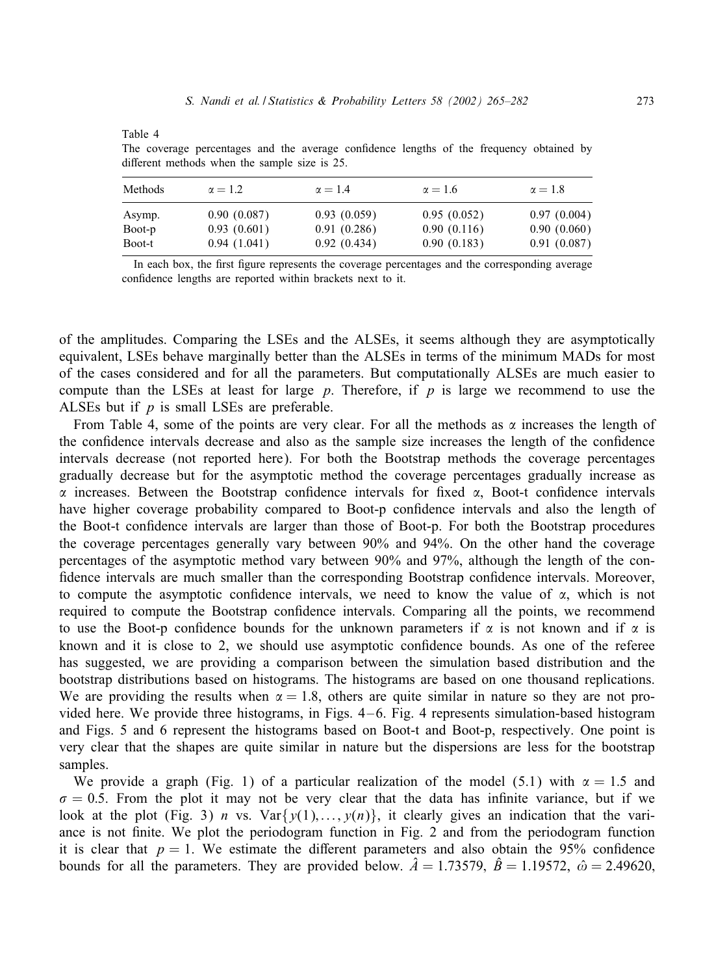|--|--|

The coverage percentages and the average confidence lengths of the frequency obtained by different methods when the sample size is 25.

| Methods | $\alpha = 1.2$ | $\alpha = 1.4$ | $\alpha = 1.6$ | $\alpha = 1.8$ |
|---------|----------------|----------------|----------------|----------------|
| Asymp.  | 0.90(0.087)    | 0.93(0.059)    | 0.95(0.052)    | 0.97(0.004)    |
| Boot-p  | 0.93(0.601)    | 0.91(0.286)    | 0.90(0.116)    | 0.90(0.060)    |
| Boot-t  | 0.94(1.041)    | 0.92(0.434)    | 0.90(0.183)    | 0.91(0.087)    |

In each box, the first figure represents the coverage percentages and the corresponding average confidence lengths are reported within brackets next to it.

of the amplitudes. Comparing the LSEs and the ALSEs, it seems although they are asymptotically equivalent, LSEs behave marginally better than the ALSEs in terms of the minimum MADs for most of the cases considered and for all the parameters. But computationally ALSEs are much easier to compute than the LSEs at least for large  $p$ . Therefore, if  $p$  is large we recommend to use the ALSEs but if  $p$  is small LSEs are preferable.

From Table 4, some of the points are very clear. For all the methods as  $\alpha$  increases the length of the confidence intervals decrease and also as the sample size increases the length of the confidence intervals decrease (not reported here). For both the Bootstrap methods the coverage percentages gradually decrease but for the asymptotic method the coverage percentages gradually increase as  $\alpha$  increases. Between the Bootstrap confidence intervals for fixed  $\alpha$ , Boot-t confidence intervals have higher coverage probability compared to Boot-p confidence intervals and also the length of the Boot-t confidence intervals are larger than those of Boot-p. For both the Bootstrap procedures the coverage percentages generally vary between 90% and 94%. On the other hand the coverage percentages of the asymptotic method vary between 90% and 97%, although the length of the confidence intervals are much smaller than the corresponding Bootstrap confidence intervals. Moreover, to compute the asymptotic confidence intervals, we need to know the value of  $\alpha$ , which is not required to compute the Bootstrap confidence intervals. Comparing all the points, we recommend to use the Boot-p confidence bounds for the unknown parameters if  $\alpha$  is not known and if  $\alpha$  is known and it is close to 2, we should use asymptotic confidence bounds. As one of the referee has suggested, we are providing a comparison between the simulation based distribution and the bootstrap distributions based on histograms. The histograms are based on one thousand replications. We are providing the results when  $\alpha = 1.8$ , others are quite similar in nature so they are not provided here. We provide three histograms, in Figs. 4 – 6. Fig. 4 represents simulation-based histogram and Figs. 5 and 6 represent the histograms based on Boot-t and Boot-p, respectively. One point is very clear that the shapes are quite similar in nature but the dispersions are less for the bootstrap samples.

We provide a graph (Fig. 1) of a particular realization of the model (5.1) with  $\alpha = 1.5$  and  $\sigma = 0.5$ . From the plot it may not be very clear that the data has infinite variance, but if we look at the plot (Fig. 3) n vs.  $Var\{y(1),...,y(n)\}\$ , it clearly gives an indication that the variance is not finite. We plot the periodogram function in Fig. 2 and from the periodogram function it is clear that  $p = 1$ . We estimate the different parameters and also obtain the 95% confidence bounds for all the parameters. They are provided below.  $\hat{A} = 1.73579$ ,  $\hat{B} = 1.19572$ ,  $\hat{\omega} = 2.49620$ ,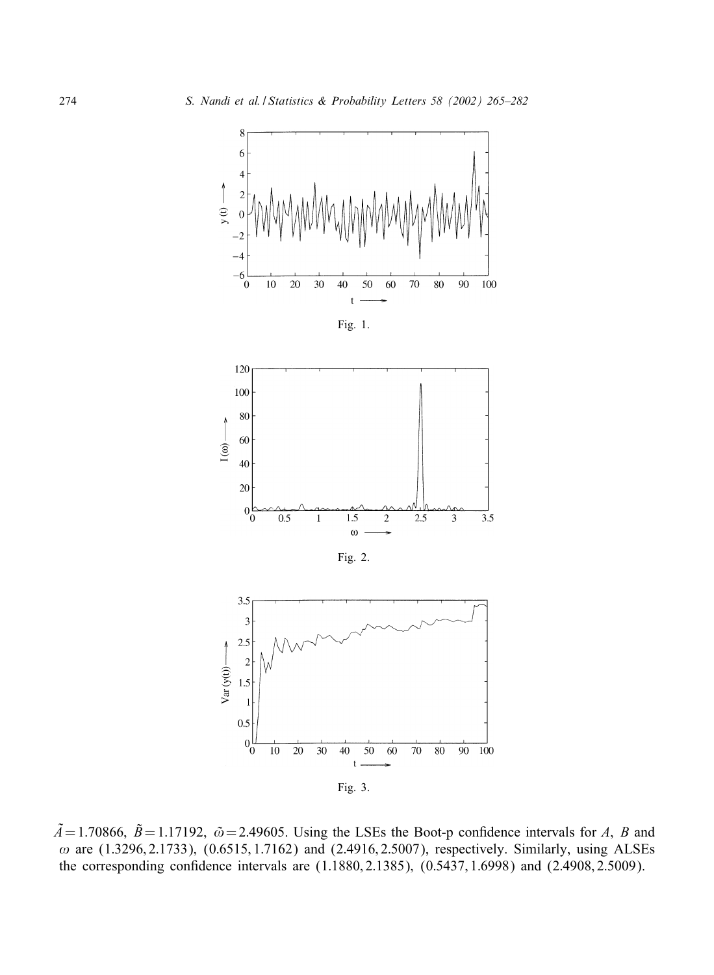

 $\tilde{A} = 1.70866$ ,  $\tilde{B} = 1.17192$ ,  $\tilde{\omega} = 2.49605$ . Using the LSEs the Boot-p confidence intervals for A, B and  $\omega$  are (1.3296, 2.1733), (0.6515, 1.7162) and (2.4916, 2.5007), respectively. Similarly, using ALSEs the corresponding confidence intervals are  $(1.1880, 2.1385)$ ,  $(0.5437, 1.6998)$  and  $(2.4908, 2.5009)$ .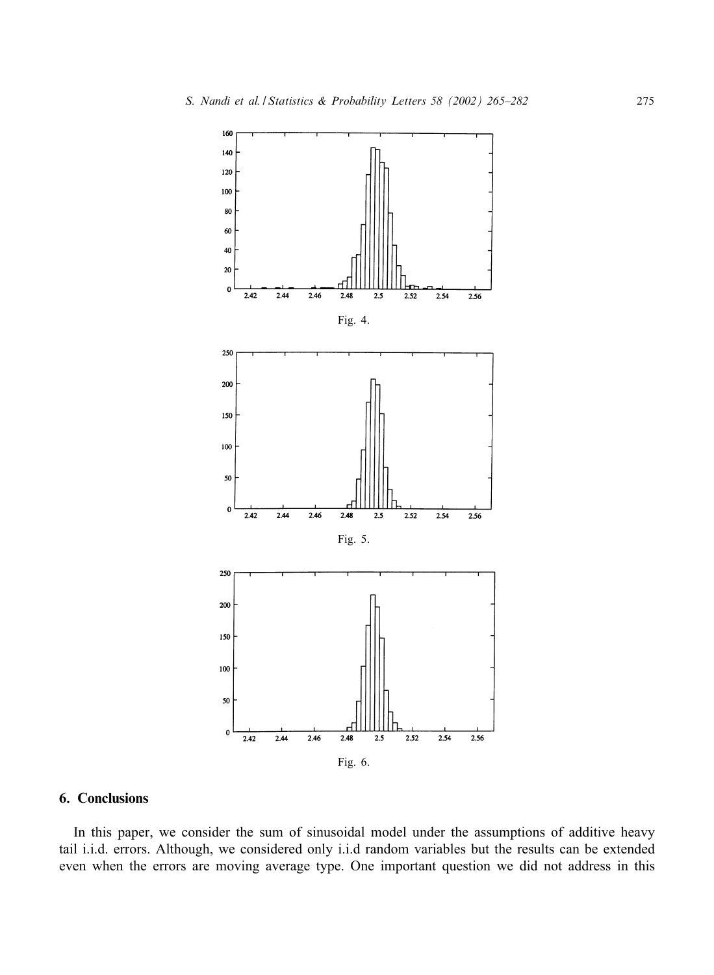

# 6. Conclusions

In this paper, we consider the sum of sinusoidal model under the assumptions of additive heavy tail i.i.d. errors. Although, we considered only i.i.d random variables but the results can be extended even when the errors are moving average type. One important question we did not address in this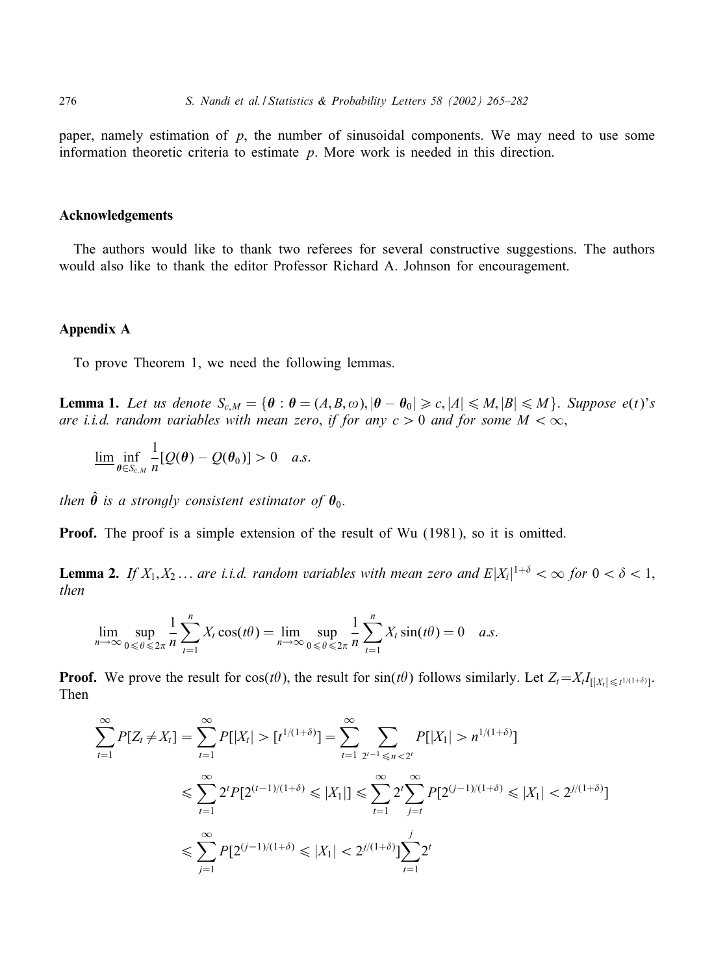paper, namely estimation of  $p$ , the number of sinusoidal components. We may need to use some information theoretic criteria to estimate  $p$ . More work is needed in this direction.

#### Acknowledgements

The authors would like to thank two referees for several constructive suggestions. The authors would also like to thank the editor Professor Richard A. Johnson for encouragement.

## Appendix A

To prove Theorem 1, we need the following lemmas.

**Lemma 1.** Let us denote  $S_{c,M} = \{ \theta : \theta = (A,B,\omega), |\theta - \theta_0| \geq c, |A| \leq M, |B| \leq M \}$ . *Suppose*  $e(t)^{s}$ *s are i.i.d. random variables with mean zero, if for any*  $c > 0$  *and for some*  $M < \infty$ ,

$$
\underline{\lim}_{\theta \in S_{c,M}} \frac{1}{n} [Q(\theta) - Q(\theta_0)] > 0 \quad a.s.
$$

*then*  $\hat{\theta}$  *is a strongly consistent estimator of*  $\theta_0$ *.* 

**Proof.** The proof is a simple extension of the result of Wu (1981), so it is omitted.

**Lemma 2.** If  $X_1, X_2, \ldots$  are i.i.d. random variables with mean zero and  $E|X_i|^{1+\delta} < \infty$  for  $0 < \delta < 1$ , *then*

$$
\lim_{n \to \infty} \sup_{0 \le \theta \le 2\pi} \frac{1}{n} \sum_{t=1}^{n} X_t \cos(t\theta) = \lim_{n \to \infty} \sup_{0 \le \theta \le 2\pi} \frac{1}{n} \sum_{t=1}^{n} X_t \sin(t\theta) = 0 \quad a.s.
$$

**Proof.** We prove the result for  $cos(t\theta)$ , the result for  $sin(t\theta)$  follows similarly. Let  $Z_t = X_t I_{\{|X_t| \leq t^{1/(1+\delta)}\}}$ . Then

$$
\sum_{t=1}^{\infty} P[Z_t \neq X_t] = \sum_{t=1}^{\infty} P[|X_t| > [t^{1/(1+\delta)}] = \sum_{t=1}^{\infty} \sum_{2^{t-1} \leq n < 2^t} P[|X_1| > n^{1/(1+\delta)}]
$$
\n
$$
\leq \sum_{t=1}^{\infty} 2^t P[2^{(t-1)/(1+\delta)} \leq |X_1|] \leq \sum_{t=1}^{\infty} 2^t \sum_{j=t}^{\infty} P[2^{(j-1)/(1+\delta)} \leq |X_1| < 2^{j/(1+\delta)}]
$$
\n
$$
\leq \sum_{j=1}^{\infty} P[2^{(j-1)/(1+\delta)} \leq |X_1| < 2^{j/(1+\delta)}] \sum_{t=1}^j 2^t
$$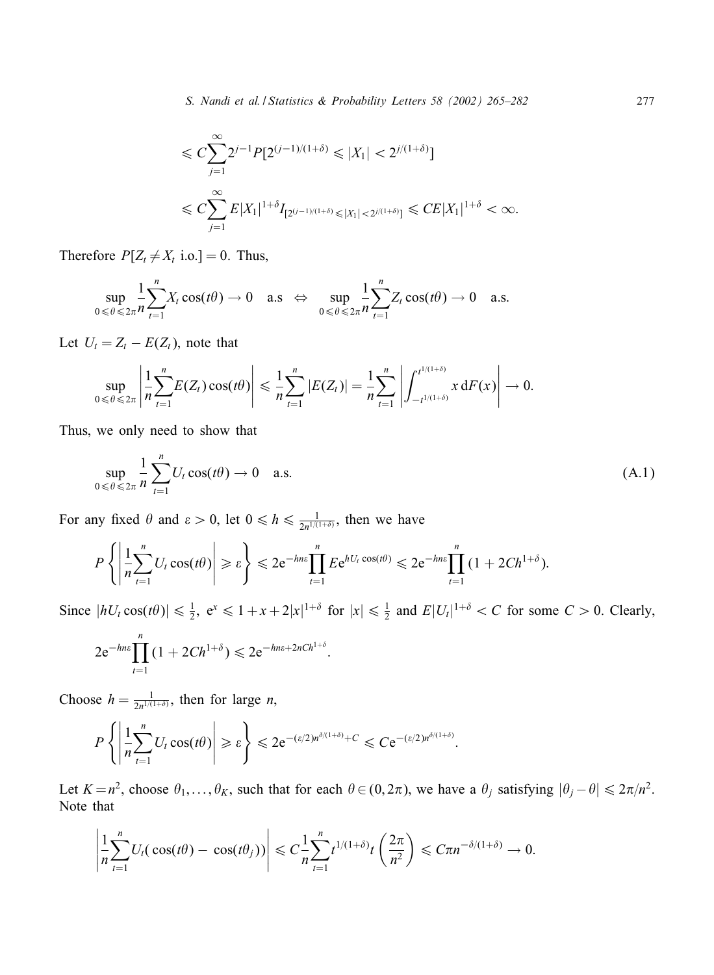$$
\leq C \sum_{j=1}^{\infty} 2^{j-1} P[2^{(j-1)/(1+\delta)} \leq |X_1| < 2^{j/(1+\delta)}]
$$
\n
$$
\leq C \sum_{j=1}^{\infty} E|X_1|^{1+\delta} I_{[2^{(j-1)/(1+\delta)} \leq |X_1| < 2^{j/(1+\delta)}]} \leq C E|X_1|^{1+\delta} < \infty.
$$

Therefore  $P[Z_t \neq X_t \text{ i.o.}]=0$ . Thus,

$$
\sup_{0\leq \theta\leq 2\pi} \frac{1}{n} \sum_{t=1}^n X_t \cos(t\theta) \to 0 \quad \text{a.s.} \iff \sup_{0\leq \theta\leq 2\pi} \frac{1}{n} \sum_{t=1}^n Z_t \cos(t\theta) \to 0 \quad \text{a.s.}
$$

Let  $U_t = Z_t - E(Z_t)$ , note that

$$
\sup_{0 \le \theta \le 2\pi} \left| \frac{1}{n} \sum_{t=1}^n E(Z_t) \cos(t\theta) \right| \le \frac{1}{n} \sum_{t=1}^n |E(Z_t)| = \frac{1}{n} \sum_{t=1}^n \left| \int_{-t^{1/(1+\delta)}}^{t^{1/(1+\delta)}} x \, dF(x) \right| \to 0.
$$

Thus; we only need to show that

$$
\sup_{0 \le \theta \le 2\pi} \frac{1}{n} \sum_{t=1}^{n} U_t \cos(t\theta) \to 0 \quad \text{a.s.}
$$
\n(A.1)

For any fixed  $\theta$  and  $\varepsilon > 0$ , let  $0 \le h \le \frac{1}{2n^{1/(1+\delta)}}$ , then we have

$$
P\left\{\left|\frac{1}{n}\sum_{t=1}^n U_t \cos(t\theta)\right| \geqslant \varepsilon\right\} \leqslant 2e^{-hn\varepsilon} \prod_{t=1}^n E e^{hU_t \cos(t\theta)} \leqslant 2e^{-hn\varepsilon} \prod_{t=1}^n \left(1 + 2C h^{1+\delta}\right).
$$

:

Since  $|hU_t \cos(t\theta)| \leq \frac{1}{2}$ ,  $e^x \leq 1 + x + 2|x|^{1+\delta}$  for  $|x| \leq \frac{1}{2}$  and  $E|U_t|^{1+\delta} < C$  for some  $C > 0$ . Clearly,

$$
2e^{-hn\varepsilon} \prod_{t=1}^{n} (1 + 2Ch^{1+\delta}) \leq 2e^{-hn\varepsilon + 2nCh^{1+\delta}}
$$

Choose  $h = \frac{1}{2n^{1/(1+\delta)}}$ , then for large *n*,

$$
P\left\{\left|\frac{1}{n}\sum_{t=1}^n U_t \cos(t\theta)\right| \geqslant \varepsilon\right\} \leqslant 2e^{-(\varepsilon/2)n^{\delta/(1+\delta)}+C} \leqslant C e^{-(\varepsilon/2)n^{\delta/(1+\delta)}}.
$$

Let  $K = n^2$ , choose  $\theta_1, \ldots, \theta_K$ , such that for each  $\theta \in (0, 2\pi)$ , we have a  $\theta_j$  satisfying  $|\theta_j - \theta| \leq 2\pi/n^2$ . Note that

$$
\left|\frac{1}{n}\sum_{t=1}^n U_t(\cos(t\theta)-\cos(t\theta_j))\right|\leq C\frac{1}{n}\sum_{t=1}^n t^{1/(1+\delta)}t\left(\frac{2\pi}{n^2}\right)\leq C\pi n^{-\delta/(1+\delta)}\to 0.
$$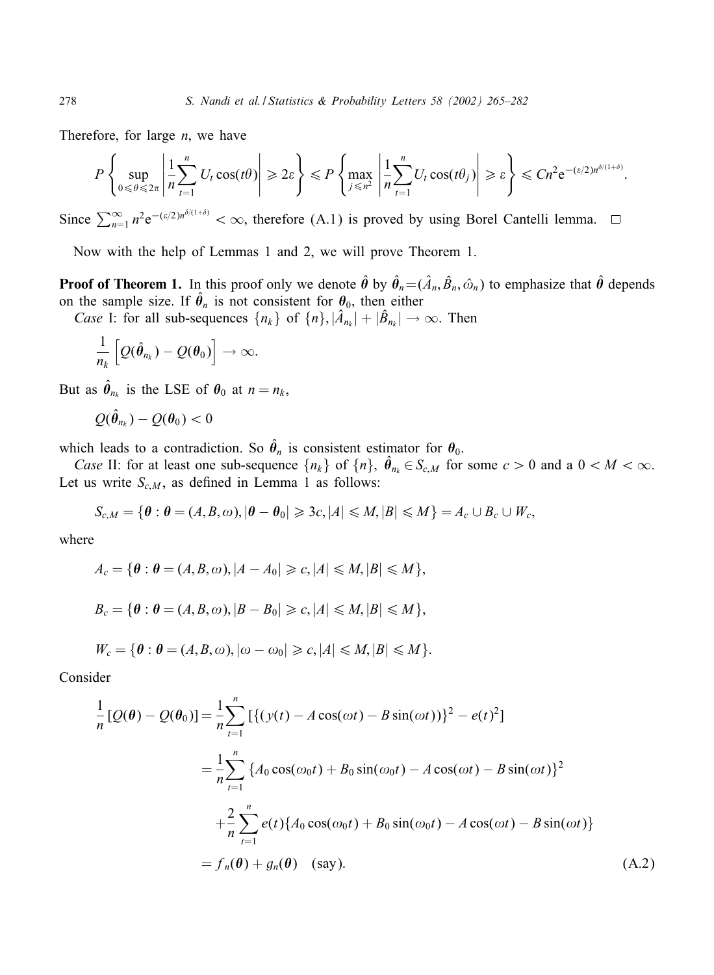Therefore, for large  $n$ , we have

$$
P\left\{\sup_{0\leq \theta\leq 2\pi}\left|\frac{1}{n}\sum_{t=1}^n U_t \cos(t\theta)\right|\geqslant 2\varepsilon\right\}\leqslant P\left\{\max_{j\leqslant n^2}\left|\frac{1}{n}\sum_{t=1}^n U_t \cos(t\theta_j)\right|\geqslant \varepsilon\right\}\leqslant Cn^2e^{-(\varepsilon/2)n^{\delta/(1+\delta)}}.
$$

Since  $\sum_{n=1}^{\infty} n^2 e^{-(\epsilon/2)n^{\delta/(1+\delta)}} < \infty$ , therefore (A.1) is proved by using Borel Cantelli lemma.

Now with the help of Lemmas 1 and 2, we will prove Theorem 1.

**Proof of Theorem 1.** In this proof only we denote  $\hat{\theta}$  by  $\hat{\theta}_n = (\hat{A}_n, \hat{B}_n, \hat{\omega}_n)$  to emphasize that  $\hat{\theta}$  depends on the sample size. If  $\hat{\theta}_n$  is not consistent for  $\theta_0$ , then either

*Case* I: for all sub-sequences  $\{n_k\}$  of  $\{n\}$ ,  $|\hat{A}_{n_k}| + |\hat{B}_{n_k}| \to \infty$ . Then

$$
\frac{1}{n_k}\left[Q(\hat{\boldsymbol{\theta}}_{n_k})-Q(\boldsymbol{\theta}_0)\right]\to\infty.
$$

But as  $\hat{\theta}_{n_k}$  is the LSE of  $\theta_0$  at  $n = n_k$ ,

$$
\mathcal{Q}(\hat{\pmb{\theta}}_{n_k}) - \mathcal{Q}(\pmb{\theta}_0) < 0
$$

which leads to a contradiction. So  $\hat{\theta}_n$  is consistent estimator for  $\theta_0$ .

*Case* II: for at least one sub-sequence  $\{n_k\}$  of  $\{n\}$ ,  $\hat{\theta}_{n_k} \in S_{c,M}$  for some  $c > 0$  and a  $0 < M < \infty$ . Let us write  $S_{c,M}$ , as defined in Lemma 1 as follows:

$$
S_{c,M} = \{ \boldsymbol{\theta} : \boldsymbol{\theta} = (A,B,\omega), |\boldsymbol{\theta} - \boldsymbol{\theta}_0| \geqslant 3c, |A| \leqslant M, |B| \leqslant M \} = A_c \cup B_c \cup W_c,
$$

where

$$
A_c = \{ \theta : \theta = (A, B, \omega), |A - A_0| \ge c, |A| \le M, |B| \le M \},
$$
  
\n
$$
B_c = \{ \theta : \theta = (A, B, \omega), |B - B_0| \ge c, |A| \le M, |B| \le M \},
$$
  
\n
$$
W_c = \{ \theta : \theta = (A, B, \omega), |\omega - \omega_0| \ge c, |A| \le M, |B| \le M \}.
$$

Consider

$$
\frac{1}{n} [Q(\theta) - Q(\theta_0)] = \frac{1}{n} \sum_{t=1}^{n} \left[ \{ (y(t) - A \cos(\omega t) - B \sin(\omega t)) \}^2 - e(t)^2 \right]
$$
  
\n
$$
= \frac{1}{n} \sum_{t=1}^{n} \left\{ A_0 \cos(\omega_0 t) + B_0 \sin(\omega_0 t) - A \cos(\omega t) - B \sin(\omega t) \right\}^2
$$
  
\n
$$
+ \frac{2}{n} \sum_{t=1}^{n} e(t) \left\{ A_0 \cos(\omega_0 t) + B_0 \sin(\omega_0 t) - A \cos(\omega t) - B \sin(\omega t) \right\}
$$
  
\n
$$
= f_n(\theta) + g_n(\theta) \quad \text{(say)}.
$$
 (A.2)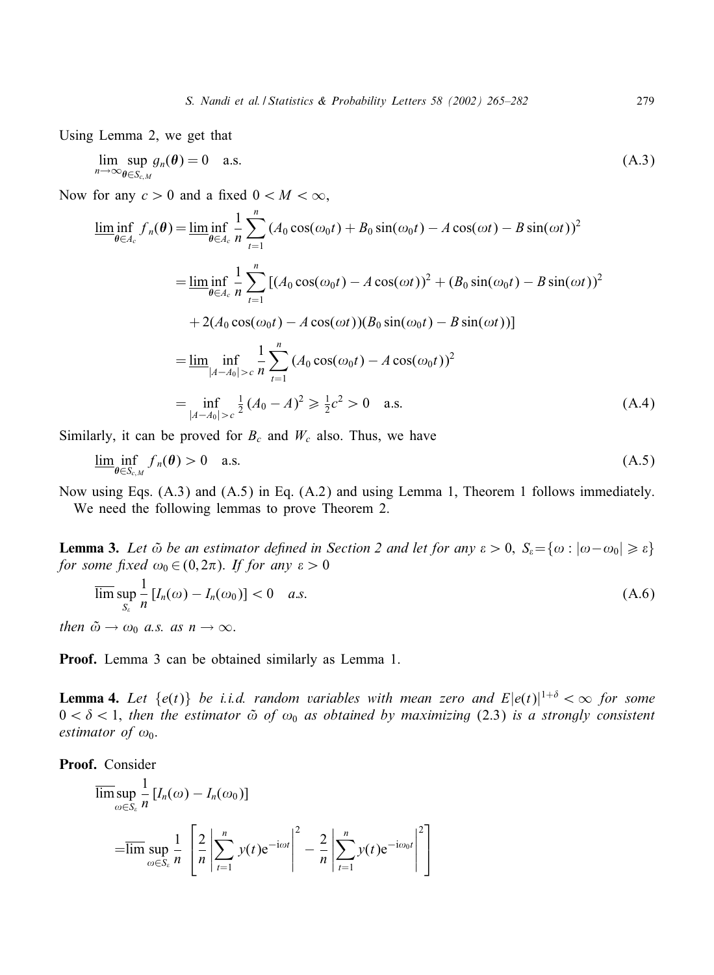Using Lemma 2, we get that

$$
\lim_{n \to \infty} \sup_{\theta \in S_{c,M}} g_n(\theta) = 0 \quad \text{a.s.} \tag{A.3}
$$

Now for any  $c > 0$  and a fixed  $0 < M < \infty$ ,

$$
\liminf_{\theta \in A_c} f_n(\theta) = \liminf_{\theta \in A_c} \frac{1}{n} \sum_{t=1}^n (A_0 \cos(\omega_0 t) + B_0 \sin(\omega_0 t) - A \cos(\omega t) - B \sin(\omega t))^2
$$
\n
$$
= \liminf_{\theta \in A_c} \frac{1}{n} \sum_{t=1}^n [(A_0 \cos(\omega_0 t) - A \cos(\omega t))^2 + (B_0 \sin(\omega_0 t) - B \sin(\omega t))^2
$$
\n
$$
+ 2(A_0 \cos(\omega_0 t) - A \cos(\omega t))(B_0 \sin(\omega_0 t) - B \sin(\omega t))]
$$
\n
$$
= \lim_{|A| \to 0} \inf_{|A| \to 0} \frac{1}{n} \sum_{t=1}^n (A_0 \cos(\omega_0 t) - A \cos(\omega_0 t))^2
$$
\n
$$
= \inf_{|A| \to 0} \frac{1}{n} (A_0 - A_0)^2 \ge \frac{1}{2} c^2 > 0 \text{ a.s.}
$$
\n(A.4)

Similarly, it can be proved for  $B_c$  and  $W_c$  also. Thus, we have

$$
\lim_{\theta \in S_{c,M}} f_n(\theta) > 0 \quad \text{a.s.} \tag{A.5}
$$

Now using Eqs. (A.3) and (A.5) in Eq. (A.2) and using Lemma 1, Theorem 1 follows immediately. We need the following lemmas to prove Theorem 2.

**Lemma 3.** Let  $\tilde{\omega}$  be an estimator defined in Section 2 and let for any  $\epsilon > 0$ ,  $S_{\epsilon} = {\omega : |\omega - \omega_0| \geq \epsilon}$ *for some fixed*  $\omega_0 \in (0, 2\pi)$ . *If for any*  $\epsilon > 0$ 

$$
\overline{\lim}_{S_{\varepsilon}} \sup_{n} \frac{1}{n} [I_n(\omega) - I_n(\omega_0)] < 0 \quad a.s.
$$
\nthen

\n
$$
\tilde{\omega} \to \omega_0 \quad a.s. \quad as \quad n \to \infty.
$$
\n(A.6)

Proof. Lemma 3 can be obtained similarly as Lemma 1.

**Lemma 4.** Let  $\{e(t)\}\$  be i.i.d. random variables with mean zero and  $E|e(t)|^{1+\delta} < \infty$  for some  $0 < \delta < 1$ , then the estimator  $\tilde{\omega}$  of  $\omega_0$  as obtained by maximizing (2.3) is a strongly consistent *estimator of*  $\omega_0$ .

Proof. Consider

$$
\overline{\limsup}_{\omega \in S_{\varepsilon}} \frac{1}{n} [I_n(\omega) - I_n(\omega_0)]
$$
  
=
$$
\overline{\limsup}_{\omega \in S_{\varepsilon}} \frac{1}{n} \left[ \frac{2}{n} \left| \sum_{t=1}^n y(t) e^{-i\omega t} \right|^2 - \frac{2}{n} \left| \sum_{t=1}^n y(t) e^{-i\omega_0 t} \right|^2 \right]
$$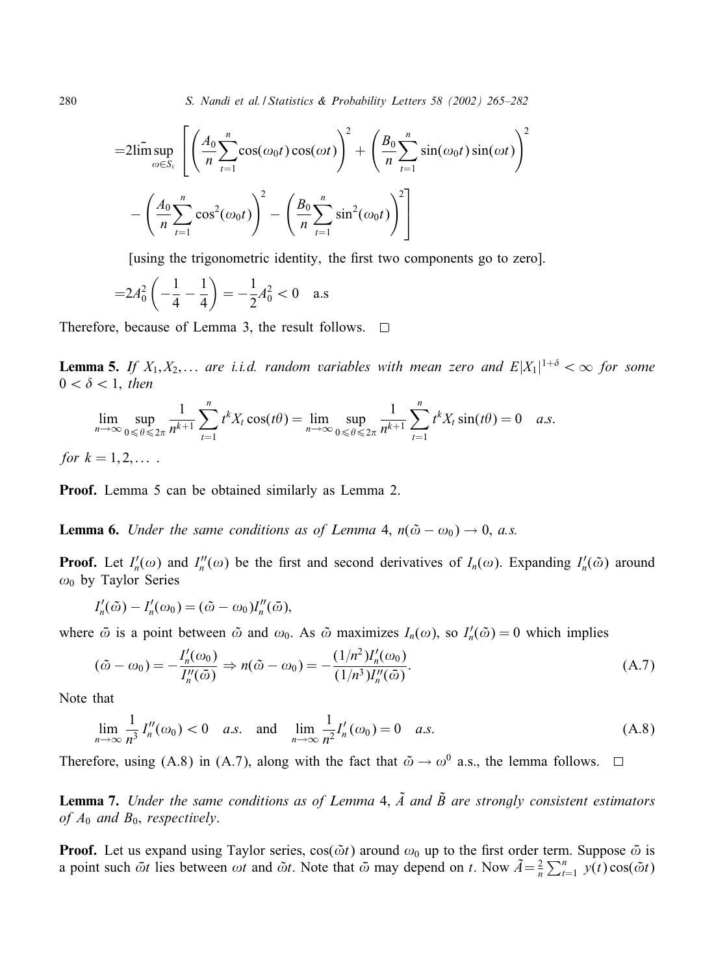280 *S. Nandi et al. / Statistics & Probability Letters 58(2002) 265–282*

$$
=2\limsup_{\omega\in S_{\epsilon}}\left[\left(\frac{A_0}{n}\sum_{t=1}^n\cos(\omega_0t)\cos(\omega t)\right)^2+\left(\frac{B_0}{n}\sum_{t=1}^n\sin(\omega_0t)\sin(\omega t)\right)^2-\left(\frac{A_0}{n}\sum_{t=1}^n\cos^2(\omega_0t)\right)^2-\left(\frac{B_0}{n}\sum_{t=1}^n\sin^2(\omega_0t)\right)^2\right]
$$

[using the trigonometric identity, the first two components go to zero].

$$
=2A_0^2\left(-\frac{1}{4}-\frac{1}{4}\right)=-\frac{1}{2}A_0^2<0
$$
 a.s

Therefore, because of Lemma 3, the result follows.  $\Box$ 

**Lemma 5.** If  $X_1, X_2, \ldots$  are i.i.d. random variables with mean zero and  $E|X_1|^{1+\delta} < \infty$  for some  $0 < \delta < 1$ , *then* 

$$
\lim_{n \to \infty} \sup_{0 \le \theta \le 2\pi} \frac{1}{n^{k+1}} \sum_{t=1}^n t^k X_t \cos(t\theta) = \lim_{n \to \infty} \sup_{0 \le \theta \le 2\pi} \frac{1}{n^{k+1}} \sum_{t=1}^n t^k X_t \sin(t\theta) = 0 \quad a.s.
$$

*for*  $k = 1, 2, \ldots$ .

Proof. Lemma 5 can be obtained similarly as Lemma 2.

**Lemma 6.** *Under the same conditions as of Lemma* 4,  $n(\tilde{\omega} - \omega_0) \rightarrow 0$ , *a.s.* 

**Proof.** Let  $I'_n(\omega)$  and  $I''_n(\omega)$  be the first and second derivatives of  $I_n(\omega)$ . Expanding  $I'_n(\tilde{\omega})$  around  $\omega_0$  by Taylor Series

$$
I'_n(\tilde{\omega}) - I'_n(\omega_0) = (\tilde{\omega} - \omega_0)I''_n(\bar{\omega}),
$$

where  $\bar{\omega}$  is a point between  $\tilde{\omega}$  and  $\omega_0$ . As  $\tilde{\omega}$  maximizes  $I_n(\omega)$ , so  $I'_n(\tilde{\omega}) = 0$  which implies

$$
(\tilde{\omega} - \omega_0) = -\frac{I'_n(\omega_0)}{I''_n(\bar{\omega})} \Rightarrow n(\tilde{\omega} - \omega_0) = -\frac{(1/n^2)I'_n(\omega_0)}{(1/n^3)I''_n(\bar{\omega})}.
$$
\n(A.7)

Note that

$$
\lim_{n \to \infty} \frac{1}{n^3} I''_n(\omega_0) < 0 \quad a.s. \quad \text{and} \quad \lim_{n \to \infty} \frac{1}{n^2} I'_n(\omega_0) = 0 \quad a.s. \tag{A.8}
$$

Therefore, using (A.8) in (A.7), along with the fact that  $\tilde{\omega} \rightarrow \omega^0$  a.s., the lemma follows.  $\Box$ 

**Lemma 7.** *Under the same conditions as of Lemma 4,*  $\tilde{A}$  *and*  $\tilde{B}$  *are strongly consistent estimators of*  $A_0$  *and*  $B_0$ *, respectively.* 

**Proof.** Let us expand using Taylor series,  $cos(\tilde{\omega}t)$  around  $\omega_0$  up to the first order term. Suppose  $\bar{\omega}$  is a point such  $\bar{\omega}t$  lies between  $\omega t$  and  $\tilde{\omega}t$ . Note that  $\bar{\omega}$  may depend on t. Now  $\tilde{A} = \frac{2}{n} \sum_{t=1}^{n} y(t) \cos(\tilde{\omega}t)$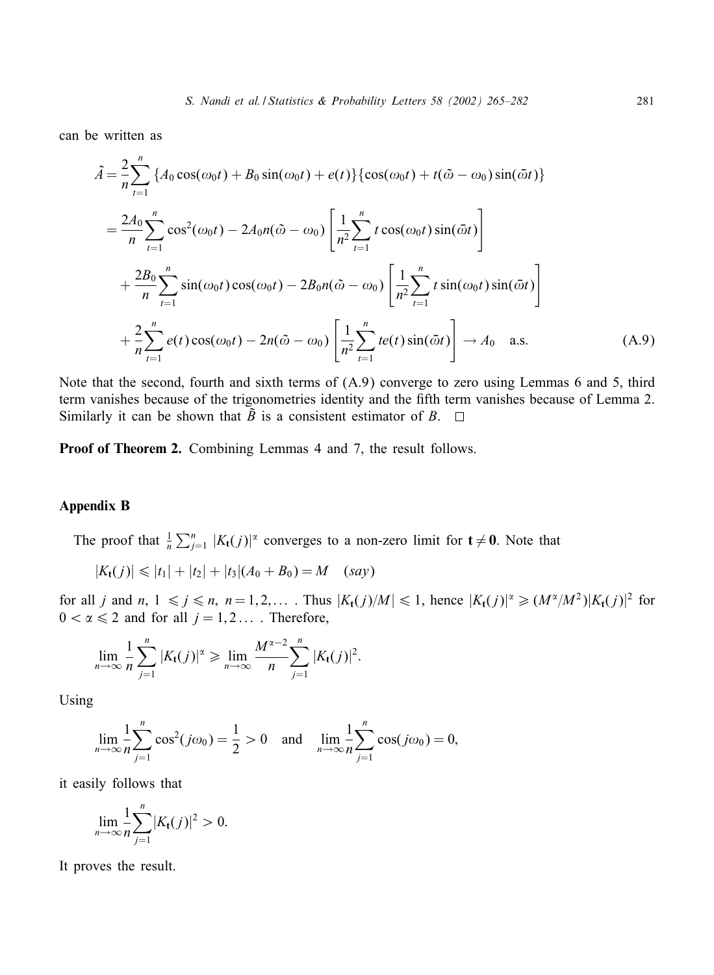can be written as

$$
\tilde{A} = \frac{2}{n} \sum_{t=1}^{n} \{ A_0 \cos(\omega_0 t) + B_0 \sin(\omega_0 t) + e(t) \} \{ \cos(\omega_0 t) + t(\tilde{\omega} - \omega_0) \sin(\tilde{\omega} t) \}
$$
\n
$$
= \frac{2A_0}{n} \sum_{t=1}^{n} \cos^2(\omega_0 t) - 2A_0 n(\tilde{\omega} - \omega_0) \left[ \frac{1}{n^2} \sum_{t=1}^{n} t \cos(\omega_0 t) \sin(\tilde{\omega} t) \right]
$$
\n
$$
+ \frac{2B_0}{n} \sum_{t=1}^{n} \sin(\omega_0 t) \cos(\omega_0 t) - 2B_0 n(\tilde{\omega} - \omega_0) \left[ \frac{1}{n^2} \sum_{t=1}^{n} t \sin(\omega_0 t) \sin(\tilde{\omega} t) \right]
$$
\n
$$
+ \frac{2}{n} \sum_{t=1}^{n} e(t) \cos(\omega_0 t) - 2n(\tilde{\omega} - \omega_0) \left[ \frac{1}{n^2} \sum_{t=1}^{n} t e(t) \sin(\tilde{\omega} t) \right] \rightarrow A_0 \quad \text{a.s.}
$$
\n(A.9)

Note that the second; fourth and sixth terms of (A.9) converge to zero using Lemmas 6 and 5; third term vanishes because of the trigonometries identity and the fifth term vanishes because of Lemma 2. Similarly it can be shown that  $\tilde{B}$  is a consistent estimator of B.  $\Box$ 

Proof of Theorem 2. Combining Lemmas 4 and 7, the result follows.

## Appendix B

The proof that  $\frac{1}{n}\sum_{j=1}^n |K_t(j)|^{\alpha}$  converges to a non-zero limit for  $t \neq 0$ . Note that

$$
|K_{t}(j)| \leq |t_{1}| + |t_{2}| + |t_{3}|(A_{0} + B_{0}) = M \quad (say)
$$

for all j and  $n, 1 \le j \le n, n = 1, 2,...$ . Thus  $|K_t(j)/M| \le 1$ , hence  $|K_t(j)|^{\alpha} \ge (M^{\alpha}/M^2)|K_t(j)|^2$  for  $0 < \alpha \leq 2$  and for all  $j = 1, 2, \dots$ . Therefore,

$$
\lim_{n\to\infty}\frac{1}{n}\sum_{j=1}^n|K_{\mathbf{t}}(j)|^\alpha\geqslant \lim_{n\to\infty}\frac{M^{\alpha-2}}{n}\sum_{j=1}^n|K_{\mathbf{t}}(j)|^2.
$$

Using

$$
\lim_{n \to \infty} \frac{1}{n} \sum_{j=1}^{n} \cos^2(j\omega_0) = \frac{1}{2} > 0 \text{ and } \lim_{n \to \infty} \frac{1}{n} \sum_{j=1}^{n} \cos(j\omega_0) = 0,
$$

it easily follows that

$$
\lim_{n\to\infty}\frac{1}{n}\sum_{j=1}^n|K_{\mathbf{t}}(j)|^2>0.
$$

It proves the result.